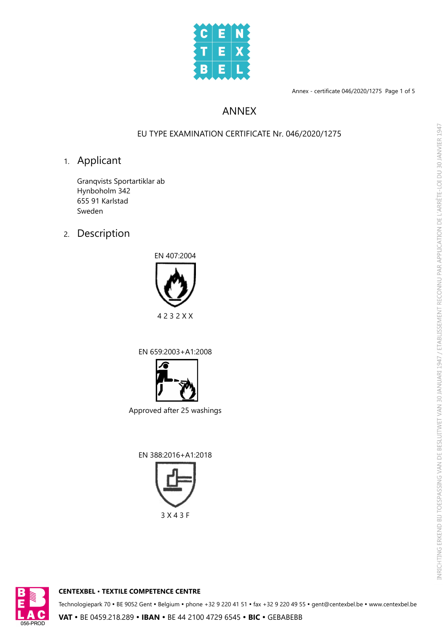

Annex - certificate 046/2020/1275 Page 1 of 5

## ANNEX

### EU TYPE EXAMINATION CERTIFICATE Nr. 046/2020/1275

# 1. Applicant

Granqvists Sportartiklar ab Hynboholm 342 655 91 Karlstad Sweden

# 2. Description



EN 659:2003+A1:2008



Approved after 25 washings

EN 388:2016+A1:2018





### **CENTEXBEL** Ÿ **TEXTILE COMPETENCE CENTRE**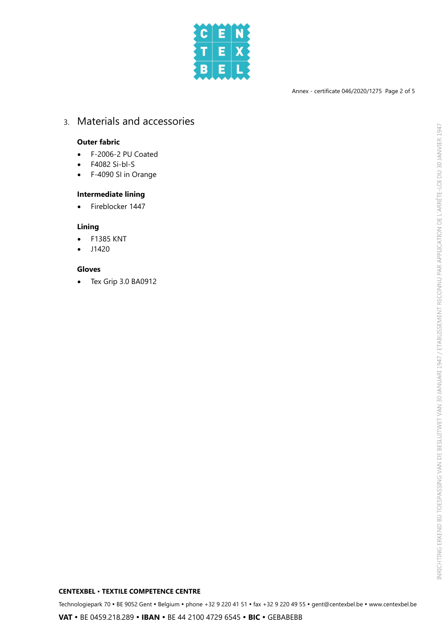

Annex - certificate 046/2020/1275 Page 2 of 5

## 3. Materials and accessories

### **Outer fabric**

- · F-2006-2 PU Coated
- · F4082 Si-bl-S
- F-4090 SI in Orange

### **Intermediate lining**

· Fireblocker 1447

### **Lining**

- · F1385 KNT
- · J1420

### **Gloves**

· Tex Grip 3.0 BA0912

### **CENTEXBEL** Ÿ **TEXTILE COMPETENCE CENTRE**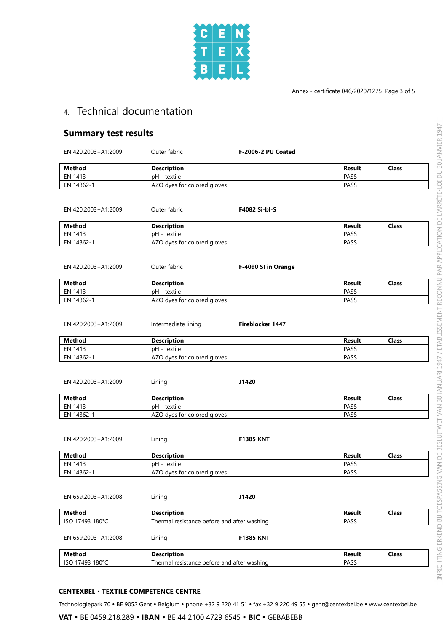

#### Annex - certificate 046/2020/1275 Page 3 of 5

# 4. Technical documentation

### **Summary test results**

| EN 420:2003+A1:2009 | Outer fabric                                | F-2006-2 PU Coated      |               |              |
|---------------------|---------------------------------------------|-------------------------|---------------|--------------|
| <b>Method</b>       | <b>Description</b>                          |                         | <b>Result</b> | <b>Class</b> |
| EN 1413             | pH - textile                                |                         | PASS          |              |
| EN 14362-1          | AZO dyes for colored gloves                 |                         | PASS          |              |
| EN 420:2003+A1:2009 | Outer fabric                                | <b>F4082 Si-bl-S</b>    |               |              |
| <b>Method</b>       | <b>Description</b>                          |                         | Result        | Class        |
| EN 1413             | pH - textile                                |                         | PASS          |              |
| EN 14362-1          | AZO dyes for colored gloves                 |                         | PASS          |              |
| EN 420:2003+A1:2009 | Outer fabric                                | F-4090 SI in Orange     |               |              |
| <b>Method</b>       | <b>Description</b>                          |                         | <b>Result</b> | <b>Class</b> |
| EN 1413             | pH - textile                                |                         | PASS          |              |
| EN 14362-1          | AZO dyes for colored gloves                 |                         | PASS          |              |
| EN 420:2003+A1:2009 | Intermediate lining                         | <b>Fireblocker 1447</b> |               |              |
| <b>Method</b>       | <b>Description</b>                          |                         | Result        | <b>Class</b> |
| EN 1413             | pH - textile                                |                         | PASS          |              |
| EN 14362-1          | AZO dyes for colored gloves                 |                         | PASS          |              |
| EN 420:2003+A1:2009 | Lining                                      | J1420                   |               |              |
| <b>Method</b>       | <b>Description</b>                          |                         | <b>Result</b> | Class        |
| EN 1413             | pH - textile                                |                         | PASS          |              |
| EN 14362-1          | AZO dyes for colored gloves                 |                         | PASS          |              |
| EN 420:2003+A1:2009 | Lining                                      | <b>F1385 KNT</b>        |               |              |
| <b>Method</b>       | <b>Description</b>                          |                         | <b>Result</b> | Class        |
| EN 1413             | pH - textile                                |                         | PASS          |              |
| EN 14362-1          | AZO dyes for colored gloves                 |                         | PASS          |              |
| EN 659:2003+A1:2008 | Lining                                      | J1420                   |               |              |
| <b>Method</b>       | <b>Description</b>                          |                         | <b>Result</b> | <b>Class</b> |
| ISO 17493 180°C     | Thermal resistance before and after washing |                         | PASS          |              |
| EN 659:2003+A1:2008 | Lining                                      | <b>F1385 KNT</b>        |               |              |
| <b>Method</b>       | <b>Description</b>                          |                         | Result        | <b>Class</b> |
| ISO 17493 180°C     | Thermal resistance before and after washing |                         | PASS          |              |

#### **CENTEXBEL** Ÿ **TEXTILE COMPETENCE CENTRE**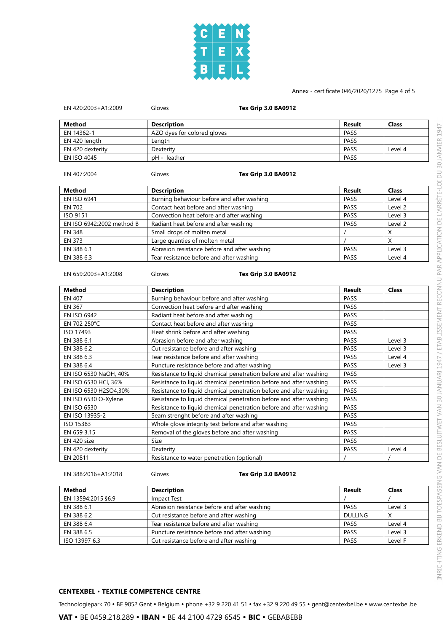

#### Annex - certificate 046/2020/1275 Page 4 of 5

| EN 420:2003+A1:2009          | <b>Tex Grip 3.0 BA0912</b><br>Gloves                                                   |               |              |
|------------------------------|----------------------------------------------------------------------------------------|---------------|--------------|
| Method                       | <b>Description</b>                                                                     | Result        | <b>Class</b> |
| EN 14362-1                   | AZO dyes for colored gloves                                                            | PASS          |              |
| EN 420 length                | Length                                                                                 | <b>PASS</b>   |              |
| EN 420 dexterity             | Dexterity                                                                              | PASS          | Level 4      |
| <b>EN ISO 4045</b>           | pH - leather                                                                           | PASS          |              |
| EN 407:2004                  | Gloves<br><b>Tex Grip 3.0 BA0912</b>                                                   |               |              |
| Method                       | <b>Description</b>                                                                     | Result        | <b>Class</b> |
| <b>EN ISO 6941</b>           | Burning behaviour before and after washing                                             | <b>PASS</b>   | Level 4      |
| <b>EN 702</b>                | Contact heat before and after washing                                                  | <b>PASS</b>   | Level 2      |
| <b>ISO 9151</b>              | Convection heat before and after washing                                               | PASS          | Level 3      |
| EN ISO 6942:2002 method B    | Radiant heat before and after washing                                                  | PASS          | Level 2      |
| <b>EN 348</b>                | Small drops of molten metal                                                            |               | X            |
| <b>EN 373</b>                | Large quanties of molten metal                                                         |               | X            |
| EN 388 6.1                   | Abrasion resistance before and after washing                                           | PASS          | Level 3      |
| EN 388 6.3                   | Tear resistance before and after washing                                               | <b>PASS</b>   | Level 4      |
| EN 659:2003+A1:2008          | Gloves<br><b>Tex Grip 3.0 BA0912</b>                                                   |               |              |
| <b>Method</b>                | <b>Description</b>                                                                     | <b>Result</b> | <b>Class</b> |
| EN 407                       |                                                                                        | <b>PASS</b>   |              |
| EN 367                       | Burning behaviour before and after washing<br>Convection heat before and after washing | PASS          |              |
| <b>EN ISO 6942</b>           | Radiant heat before and after washing                                                  | <b>PASS</b>   |              |
| EN 702 250°C                 | Contact heat before and after washing                                                  | <b>PASS</b>   |              |
| ISO 17493                    | Heat shrink before and after washing                                                   | PASS          |              |
| EN 388 6.1                   | Abrasion before and after washing                                                      | PASS          | Level 3      |
| EN 388 6.2                   | Cut resistance before and after washing                                                | PASS          | Level 3      |
| EN 388 6.3                   | Tear resistance before and after washing                                               | PASS          | Level 4      |
| EN 388 6.4                   | Puncture resistance before and after washing                                           | <b>PASS</b>   | Level 3      |
| EN ISO 6530 NaOH, 40%        | Resistance to liquid chemical penetration before and after washing                     | PASS          |              |
| EN ISO 6530 HCl, 36%         | Resistance to liquid chemical penetration before and after washing                     | PASS          |              |
| EN ISO 6530 H2SO4,30%        | Resistance to liquid chemical penetration before and after washing                     | PASS          |              |
| EN ISO 6530 O-Xylene         | Resistance to liquid chemical penetration before and after washing                     | PASS          |              |
| <b>EN ISO 6530</b>           | Resistance to liquid chemical penetration before and after washing                     | PASS          |              |
| EN ISO 13935-2               | Seam strenght before and after washing                                                 | PASS          |              |
| ISO 15383                    | Whole glove integrity test before and after washing                                    | PASS          |              |
| EN 659 3.15                  | Removal of the gloves before and after washing                                         | PASS          |              |
| EN 420 size                  | Size                                                                                   | PASS          |              |
| EN 420 dexterity<br>EN 20811 | Dexterity<br>Resistance to water penetration (optional)                                | PASS          | Level 4      |

EN 388:2016+A1:2018 Gloves **Tex Grip 3.0 BA0912**

| Method             | <b>Description</b>                           | Result         | <b>Class</b> |
|--------------------|----------------------------------------------|----------------|--------------|
| EN 13594:2015 §6.9 | Impact Test                                  |                |              |
| EN 388 6.1         | Abrasion resistance before and after washing | <b>PASS</b>    | Level 3      |
| EN 388 6.2         | Cut resistance before and after washing      | <b>DULLING</b> |              |
| EN 388 6.4         | Tear resistance before and after washing     | PASS           | Level 4      |
| EN 388 6.5         | Puncture resistance before and after washing | <b>PASS</b>    | Level 3      |
| ISO 13997 6.3      | Cut resistance before and after washing      | <b>PASS</b>    | Level F      |

### **CENTEXBEL** Ÿ **TEXTILE COMPETENCE CENTRE**